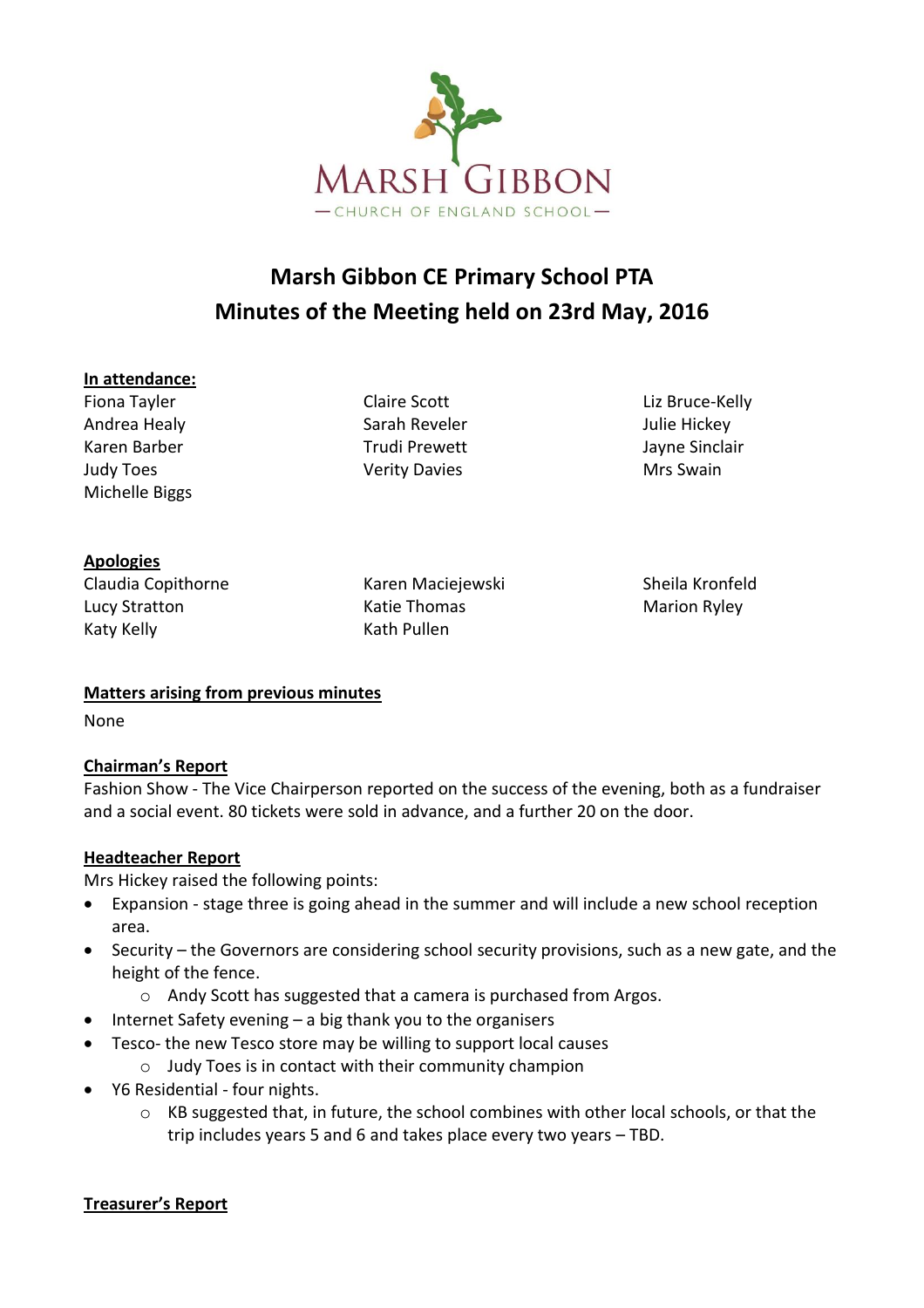

# **Marsh Gibbon CE Primary School PTA Minutes of the Meeting held on 23rd May, 2016**

#### **In attendance:**

Fiona Tayler **Claire Scott** Claire Scott Liz Bruce-Kelly Andrea Healy **Sarah Reveler** Andrea Healy **Sarah Reveler** Andrea Hickey Karen Barber Trudi Prewett March 1981 Sayne Sinclair Judy Toes **Mrs** Swain Nerity Davies Mrs Swain Michelle Biggs

#### **Apologies**

Claudia Copithorne Karen Maciejewski Sheila Kronfeld Lucy Stratton **Marion Communist Communist Communist Communist Communist Communist Communist Communist Communist Communist Communist Communist Communist Communist Communist Communist Communist Communist Communist Communist** Katy Kelly **Kath Pullen** 

#### **Matters arising from previous minutes**

None

### **Chairman's Report**

Fashion Show - The Vice Chairperson reported on the success of the evening, both as a fundraiser and a social event. 80 tickets were sold in advance, and a further 20 on the door.

#### **Headteacher Report**

Mrs Hickey raised the following points:

- Expansion stage three is going ahead in the summer and will include a new school reception area.
- Security the Governors are considering school security provisions, such as a new gate, and the height of the fence.
	- o Andy Scott has suggested that a camera is purchased from Argos.
- Internet Safety evening a big thank you to the organisers
- Tesco- the new Tesco store may be willing to support local causes
	- o Judy Toes is in contact with their community champion
- Y6 Residential four nights.
	- o KB suggested that, in future, the school combines with other local schools, or that the trip includes years 5 and 6 and takes place every two years – TBD.

#### **Treasurer's Report**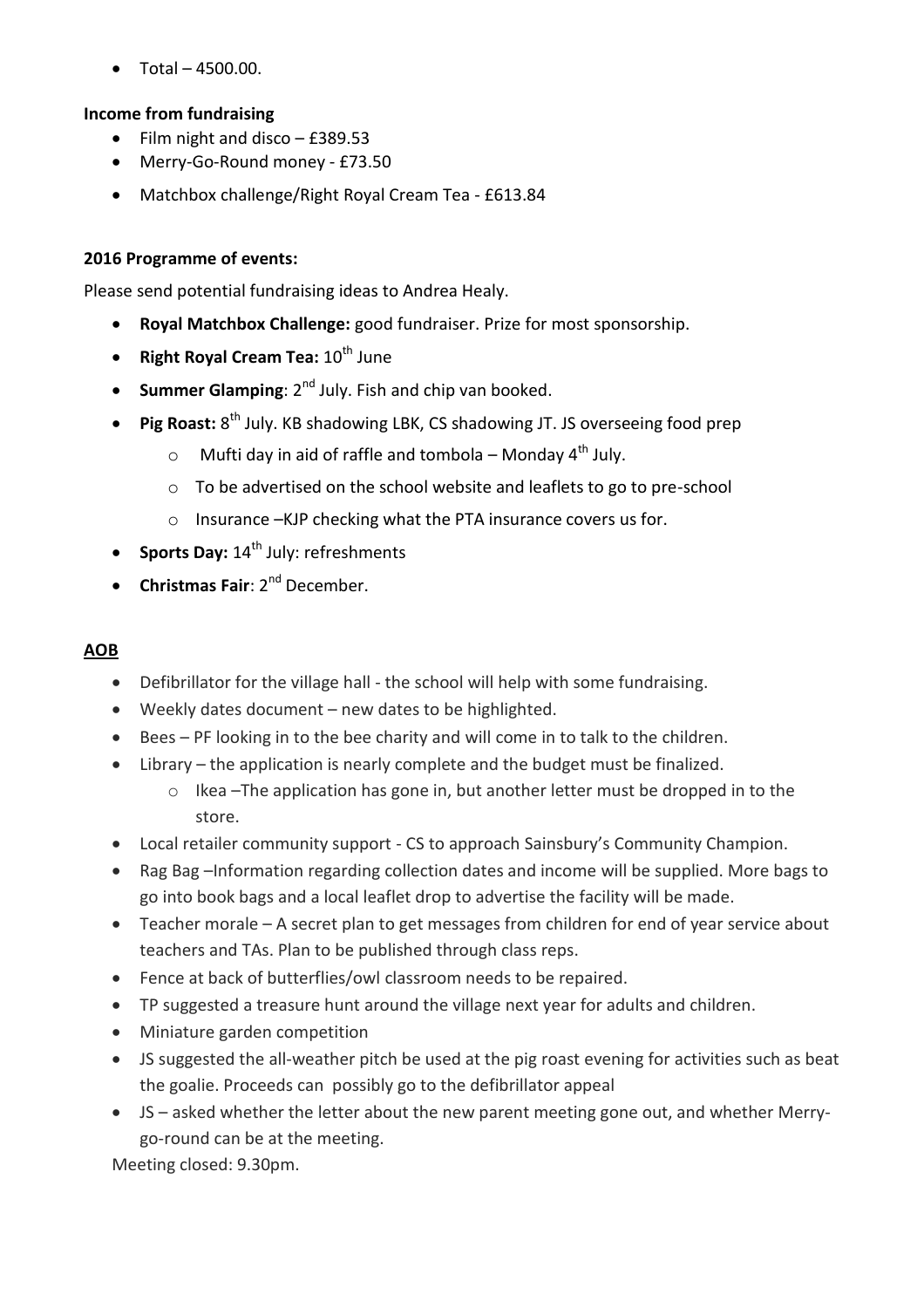$\bullet$  Total – 4500.00.

## **Income from fundraising**

- Film night and disco  $-$  £389.53
- Merry-Go-Round money £73.50
- Matchbox challenge/Right Royal Cream Tea £613.84

## **2016 Programme of events:**

Please send potential fundraising ideas to Andrea Healy.

- **Royal Matchbox Challenge:** good fundraiser. Prize for most sponsorship.
- **•** Right Royal Cream Tea:  $10^{th}$  June
- **Summer Glamping**: 2<sup>nd</sup> July. Fish and chip van booked.
- **Pig Roast:** 8<sup>th</sup> July. KB shadowing LBK, CS shadowing JT. JS overseeing food prep
	- $\circ$  Mufti day in aid of raffle and tombola Monday 4<sup>th</sup> July.
	- o To be advertised on the school website and leaflets to go to pre-school
	- o Insurance –KJP checking what the PTA insurance covers us for.
- **Sports Day:** 14<sup>th</sup> July: refreshments
- **Christmas Fair**: 2<sup>nd</sup> December.

### **AOB**

- Defibrillator for the village hall the school will help with some fundraising.
- Weekly dates document new dates to be highlighted.
- Bees PF looking in to the bee charity and will come in to talk to the children.
- Library the application is nearly complete and the budget must be finalized.
	- $\circ$  Ikea –The application has gone in, but another letter must be dropped in to the store.
- Local retailer community support CS to approach Sainsbury's Community Champion.
- Rag Bag –Information regarding collection dates and income will be supplied. More bags to go into book bags and a local leaflet drop to advertise the facility will be made.
- Teacher morale A secret plan to get messages from children for end of year service about teachers and TAs. Plan to be published through class reps.
- Fence at back of butterflies/owl classroom needs to be repaired.
- TP suggested a treasure hunt around the village next year for adults and children.
- Miniature garden competition
- JS suggested the all-weather pitch be used at the pig roast evening for activities such as beat the goalie. Proceeds can possibly go to the defibrillator appeal
- JS asked whether the letter about the new parent meeting gone out, and whether Merrygo-round can be at the meeting.

Meeting closed: 9.30pm.